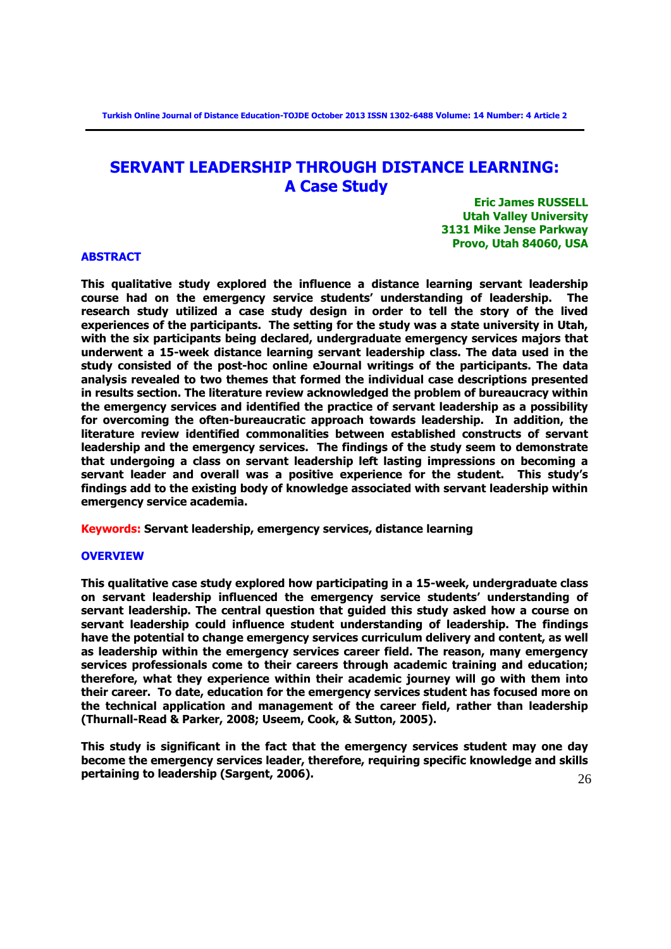# **SERVANT LEADERSHIP THROUGH DISTANCE LEARNING: A Case Study**

**Eric James RUSSELL Utah Valley University 3131 Mike Jense Parkway Provo, Utah 84060, USA**

# **ABSTRACT**

**This qualitative study explored the influence a distance learning servant leadership course had on the emergency service students' understanding of leadership. The research study utilized a case study design in order to tell the story of the lived experiences of the participants. The setting for the study was a state university in Utah, with the six participants being declared, undergraduate emergency services majors that underwent a 15-week distance learning servant leadership class. The data used in the study consisted of the post-hoc online eJournal writings of the participants. The data analysis revealed to two themes that formed the individual case descriptions presented in results section. The literature review acknowledged the problem of bureaucracy within the emergency services and identified the practice of servant leadership as a possibility for overcoming the often-bureaucratic approach towards leadership. In addition, the literature review identified commonalities between established constructs of servant leadership and the emergency services. The findings of the study seem to demonstrate that undergoing a class on servant leadership left lasting impressions on becoming a servant leader and overall was a positive experience for the student. This study's findings add to the existing body of knowledge associated with servant leadership within emergency service academia.** 

**Keywords: Servant leadership, emergency services, distance learning**

# **OVERVIEW**

**This qualitative case study explored how participating in a 15-week, undergraduate class on servant leadership influenced the emergency service students' understanding of servant leadership. The central question that guided this study asked how a course on servant leadership could influence student understanding of leadership. The findings have the potential to change emergency services curriculum delivery and content, as well as leadership within the emergency services career field. The reason, many emergency services professionals come to their careers through academic training and education; therefore, what they experience within their academic journey will go with them into their career. To date, education for the emergency services student has focused more on the technical application and management of the career field, rather than leadership (Thurnall-Read & Parker, 2008; Useem, Cook, & Sutton, 2005).** 

26 **This study is significant in the fact that the emergency services student may one day become the emergency services leader, therefore, requiring specific knowledge and skills pertaining to leadership (Sargent, 2006).**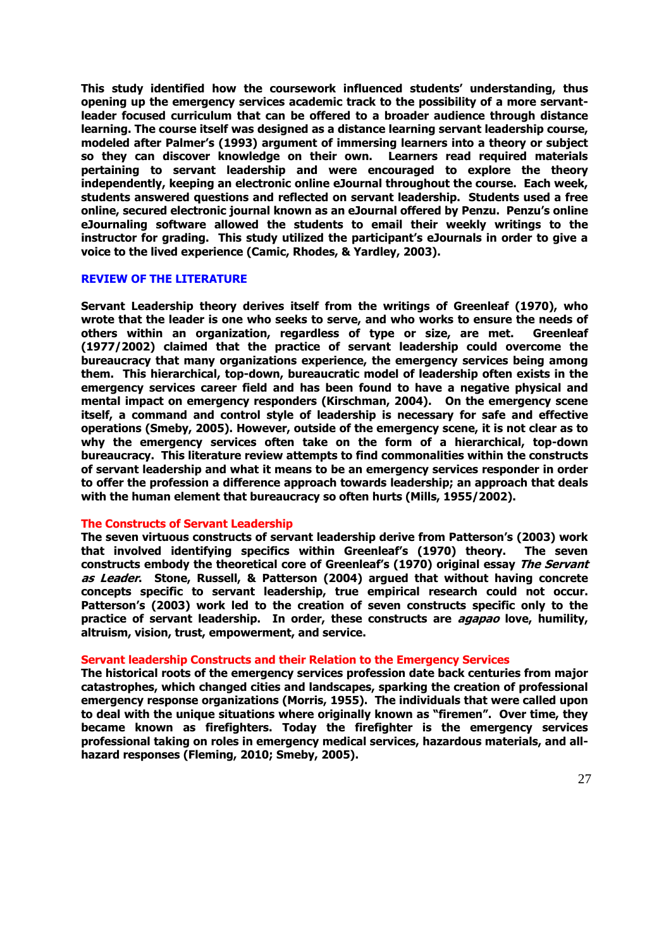**This study identified how the coursework influenced students' understanding, thus opening up the emergency services academic track to the possibility of a more servantleader focused curriculum that can be offered to a broader audience through distance learning. The course itself was designed as a distance learning servant leadership course, modeled after Palmer's (1993) argument of immersing learners into a theory or subject so they can discover knowledge on their own. Learners read required materials pertaining to servant leadership and were encouraged to explore the theory independently, keeping an electronic online eJournal throughout the course. Each week, students answered questions and reflected on servant leadership. Students used a free online, secured electronic journal known as an eJournal offered by Penzu. Penzu's online eJournaling software allowed the students to email their weekly writings to the instructor for grading. This study utilized the participant's eJournals in order to give a voice to the lived experience (Camic, Rhodes, & Yardley, 2003).** 

# **REVIEW OF THE LITERATURE**

**Servant Leadership theory derives itself from the writings of Greenleaf (1970), who wrote that the leader is one who seeks to serve, and who works to ensure the needs of others within an organization, regardless of type or size, are met. Greenleaf (1977/2002) claimed that the practice of servant leadership could overcome the bureaucracy that many organizations experience, the emergency services being among them. This hierarchical, top-down, bureaucratic model of leadership often exists in the emergency services career field and has been found to have a negative physical and mental impact on emergency responders (Kirschman, 2004). On the emergency scene itself, a command and control style of leadership is necessary for safe and effective operations (Smeby, 2005). However, outside of the emergency scene, it is not clear as to why the emergency services often take on the form of a hierarchical, top-down bureaucracy. This literature review attempts to find commonalities within the constructs of servant leadership and what it means to be an emergency services responder in order to offer the profession a difference approach towards leadership; an approach that deals with the human element that bureaucracy so often hurts (Mills, 1955/2002).** 

#### **The Constructs of Servant Leadership**

**The seven virtuous constructs of servant leadership derive from Patterson's (2003) work that involved identifying specifics within Greenleaf's (1970) theory. The seven constructs embody the theoretical core of Greenleaf's (1970) original essay The Servant as Leader. Stone, Russell, & Patterson (2004) argued that without having concrete concepts specific to servant leadership, true empirical research could not occur. Patterson's (2003) work led to the creation of seven constructs specific only to the practice of servant leadership. In order, these constructs are agapao love, humility, altruism, vision, trust, empowerment, and service.** 

#### **Servant leadership Constructs and their Relation to the Emergency Services**

**The historical roots of the emergency services profession date back centuries from major catastrophes, which changed cities and landscapes, sparking the creation of professional emergency response organizations (Morris, 1955). The individuals that were called upon to deal with the unique situations where originally known as "firemen". Over time, they became known as firefighters. Today the firefighter is the emergency services professional taking on roles in emergency medical services, hazardous materials, and allhazard responses (Fleming, 2010; Smeby, 2005).**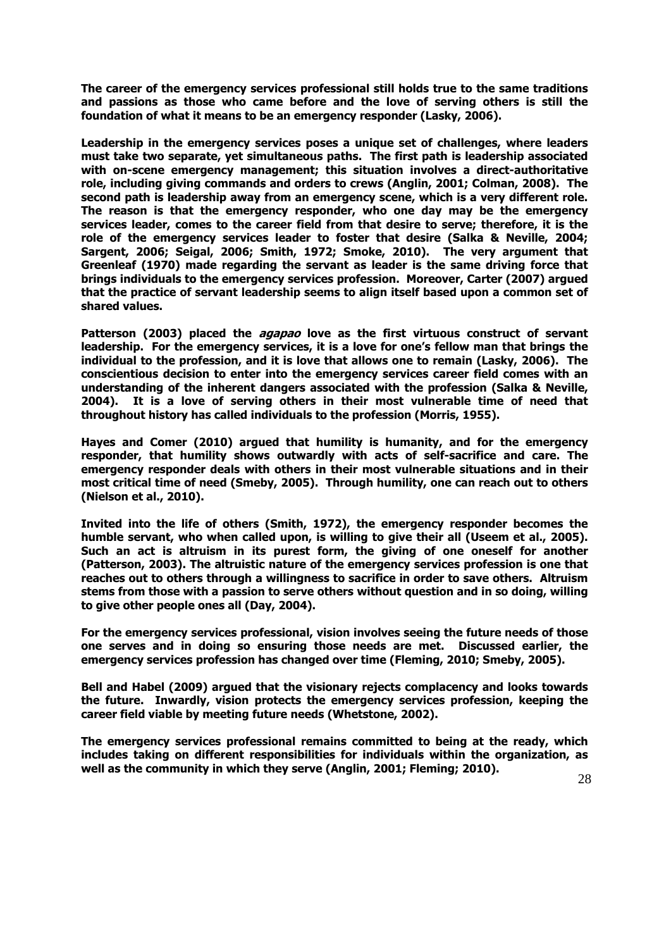**The career of the emergency services professional still holds true to the same traditions and passions as those who came before and the love of serving others is still the foundation of what it means to be an emergency responder (Lasky, 2006).** 

**Leadership in the emergency services poses a unique set of challenges, where leaders must take two separate, yet simultaneous paths. The first path is leadership associated with on-scene emergency management; this situation involves a direct-authoritative role, including giving commands and orders to crews (Anglin, 2001; Colman, 2008). The second path is leadership away from an emergency scene, which is a very different role. The reason is that the emergency responder, who one day may be the emergency services leader, comes to the career field from that desire to serve; therefore, it is the role of the emergency services leader to foster that desire (Salka & Neville, 2004; Sargent, 2006; Seigal, 2006; Smith, 1972; Smoke, 2010). The very argument that Greenleaf (1970) made regarding the servant as leader is the same driving force that brings individuals to the emergency services profession. Moreover, Carter (2007) argued that the practice of servant leadership seems to align itself based upon a common set of shared values.**

**Patterson (2003) placed the agapao love as the first virtuous construct of servant leadership. For the emergency services, it is a love for one's fellow man that brings the individual to the profession, and it is love that allows one to remain (Lasky, 2006). The conscientious decision to enter into the emergency services career field comes with an understanding of the inherent dangers associated with the profession (Salka & Neville, 2004). It is a love of serving others in their most vulnerable time of need that throughout history has called individuals to the profession (Morris, 1955).** 

**Hayes and Comer (2010) argued that humility is humanity, and for the emergency responder, that humility shows outwardly with acts of self-sacrifice and care. The emergency responder deals with others in their most vulnerable situations and in their most critical time of need (Smeby, 2005). Through humility, one can reach out to others (Nielson et al., 2010).** 

**Invited into the life of others (Smith, 1972), the emergency responder becomes the humble servant, who when called upon, is willing to give their all (Useem et al., 2005). Such an act is altruism in its purest form, the giving of one oneself for another (Patterson, 2003). The altruistic nature of the emergency services profession is one that reaches out to others through a willingness to sacrifice in order to save others. Altruism stems from those with a passion to serve others without question and in so doing, willing to give other people ones all (Day, 2004).** 

**For the emergency services professional, vision involves seeing the future needs of those one serves and in doing so ensuring those needs are met. Discussed earlier, the emergency services profession has changed over time (Fleming, 2010; Smeby, 2005).** 

**Bell and Habel (2009) argued that the visionary rejects complacency and looks towards the future. Inwardly, vision protects the emergency services profession, keeping the career field viable by meeting future needs (Whetstone, 2002).** 

**The emergency services professional remains committed to being at the ready, which includes taking on different responsibilities for individuals within the organization, as well as the community in which they serve (Anglin, 2001; Fleming; 2010).**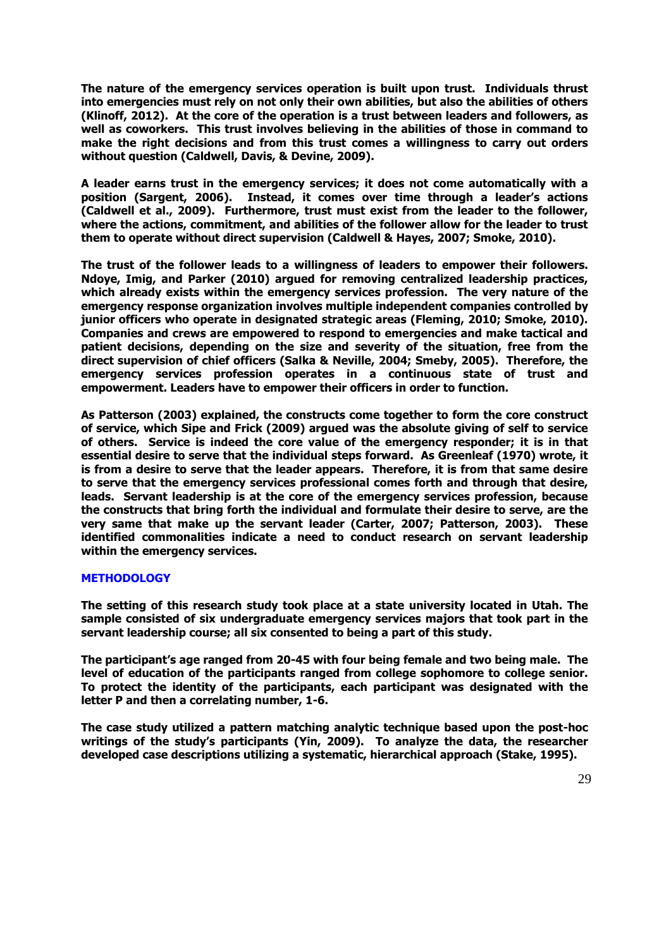**The nature of the emergency services operation is built upon trust. Individuals thrust into emergencies must rely on not only their own abilities, but also the abilities of others (Klinoff, 2012). At the core of the operation is a trust between leaders and followers, as well as coworkers. This trust involves believing in the abilities of those in command to make the right decisions and from this trust comes a willingness to carry out orders without question (Caldwell, Davis, & Devine, 2009).** 

**A leader earns trust in the emergency services; it does not come automatically with a position (Sargent, 2006). Instead, it comes over time through a leader's actions (Caldwell et al., 2009). Furthermore, trust must exist from the leader to the follower, where the actions, commitment, and abilities of the follower allow for the leader to trust them to operate without direct supervision (Caldwell & Hayes, 2007; Smoke, 2010).** 

**The trust of the follower leads to a willingness of leaders to empower their followers. Ndoye, Imig, and Parker (2010) argued for removing centralized leadership practices, which already exists within the emergency services profession. The very nature of the emergency response organization involves multiple independent companies controlled by junior officers who operate in designated strategic areas (Fleming, 2010; Smoke, 2010). Companies and crews are empowered to respond to emergencies and make tactical and patient decisions, depending on the size and severity of the situation, free from the direct supervision of chief officers (Salka & Neville, 2004; Smeby, 2005). Therefore, the emergency services profession operates in a continuous state of trust and empowerment. Leaders have to empower their officers in order to function.** 

**As Patterson (2003) explained, the constructs come together to form the core construct of service, which Sipe and Frick (2009) argued was the absolute giving of self to service of others. Service is indeed the core value of the emergency responder; it is in that essential desire to serve that the individual steps forward. As Greenleaf (1970) wrote, it is from a desire to serve that the leader appears. Therefore, it is from that same desire to serve that the emergency services professional comes forth and through that desire, leads. Servant leadership is at the core of the emergency services profession, because the constructs that bring forth the individual and formulate their desire to serve, are the very same that make up the servant leader (Carter, 2007; Patterson, 2003). These identified commonalities indicate a need to conduct research on servant leadership within the emergency services.** 

#### **METHODOLOGY**

**The setting of this research study took place at a state university located in Utah. The sample consisted of six undergraduate emergency services majors that took part in the servant leadership course; all six consented to being a part of this study.** 

**The participant's age ranged from 20-45 with four being female and two being male. The level of education of the participants ranged from college sophomore to college senior. To protect the identity of the participants, each participant was designated with the letter P and then a correlating number, 1-6.** 

**The case study utilized a pattern matching analytic technique based upon the post-hoc writings of the study's participants (Yin, 2009). To analyze the data, the researcher developed case descriptions utilizing a systematic, hierarchical approach (Stake, 1995).**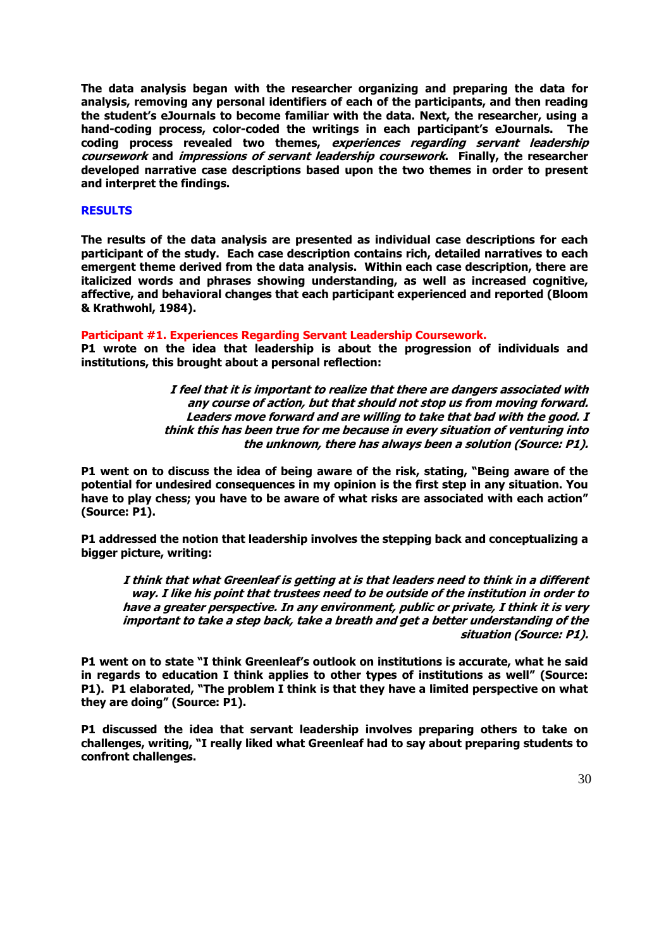**The data analysis began with the researcher organizing and preparing the data for analysis, removing any personal identifiers of each of the participants, and then reading the student's eJournals to become familiar with the data. Next, the researcher, using a hand-coding process, color-coded the writings in each participant's eJournals. The coding process revealed two themes, experiences regarding servant leadership coursework and impressions of servant leadership coursework. Finally, the researcher developed narrative case descriptions based upon the two themes in order to present and interpret the findings.** 

# **RESULTS**

**The results of the data analysis are presented as individual case descriptions for each participant of the study. Each case description contains rich, detailed narratives to each emergent theme derived from the data analysis. Within each case description, there are italicized words and phrases showing understanding, as well as increased cognitive, affective, and behavioral changes that each participant experienced and reported (Bloom & Krathwohl, 1984).** 

# **Participant #1. Experiences Regarding Servant Leadership Coursework.**

**P1 wrote on the idea that leadership is about the progression of individuals and institutions, this brought about a personal reflection:** 

> **I feel that it is important to realize that there are dangers associated with any course of action, but that should not stop us from moving forward. Leaders move forward and are willing to take that bad with the good. I think this has been true for me because in every situation of venturing into the unknown, there has always been a solution (Source: P1).**

**P1 went on to discuss the idea of being aware of the risk, stating, "Being aware of the potential for undesired consequences in my opinion is the first step in any situation. You have to play chess; you have to be aware of what risks are associated with each action" (Source: P1).**

**P1 addressed the notion that leadership involves the stepping back and conceptualizing a bigger picture, writing:** 

**I think that what Greenleaf is getting at is that leaders need to think in a different way. I like his point that trustees need to be outside of the institution in order to have a greater perspective. In any environment, public or private, I think it is very important to take a step back, take a breath and get a better understanding of the situation (Source: P1).**

**P1 went on to state "I think Greenleaf's outlook on institutions is accurate, what he said in regards to education I think applies to other types of institutions as well" (Source: P1). P1 elaborated, "The problem I think is that they have a limited perspective on what they are doing" (Source: P1).**

**P1 discussed the idea that servant leadership involves preparing others to take on challenges, writing, "I really liked what Greenleaf had to say about preparing students to confront challenges.**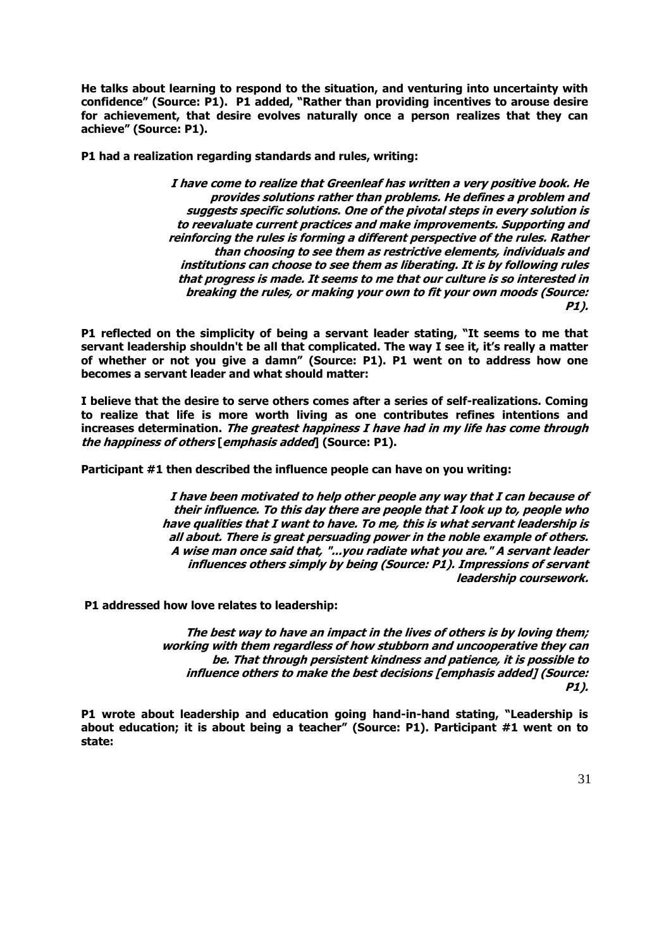**He talks about learning to respond to the situation, and venturing into uncertainty with confidence" (Source: P1). P1 added, "Rather than providing incentives to arouse desire for achievement, that desire evolves naturally once a person realizes that they can achieve" (Source: P1).** 

**P1 had a realization regarding standards and rules, writing:** 

**I have come to realize that Greenleaf has written a very positive book. He provides solutions rather than problems. He defines a problem and suggests specific solutions. One of the pivotal steps in every solution is to reevaluate current practices and make improvements. Supporting and reinforcing the rules is forming a different perspective of the rules. Rather than choosing to see them as restrictive elements, individuals and institutions can choose to see them as liberating. It is by following rules that progress is made. It seems to me that our culture is so interested in breaking the rules, or making your own to fit your own moods (Source: P1).** 

**P1 reflected on the simplicity of being a servant leader stating, "It seems to me that servant leadership shouldn't be all that complicated. The way I see it, it's really a matter of whether or not you give a damn" (Source: P1). P1 went on to address how one becomes a servant leader and what should matter:** 

**I believe that the desire to serve others comes after a series of self-realizations. Coming to realize that life is more worth living as one contributes refines intentions and increases determination. The greatest happiness I have had in my life has come through the happiness of others [emphasis added] (Source: P1).**

**Participant #1 then described the influence people can have on you writing:** 

**I have been motivated to help other people any way that I can because of their influence. To this day there are people that I look up to, people who have qualities that I want to have. To me, this is what servant leadership is all about. There is great persuading power in the noble example of others. A wise man once said that, "...you radiate what you are." A servant leader influences others simply by being (Source: P1). Impressions of servant leadership coursework.**

**P1 addressed how love relates to leadership:** 

**The best way to have an impact in the lives of others is by loving them; working with them regardless of how stubborn and uncooperative they can be. That through persistent kindness and patience, it is possible to influence others to make the best decisions [emphasis added] (Source: P1).** 

**P1 wrote about leadership and education going hand-in-hand stating, "Leadership is about education; it is about being a teacher" (Source: P1). Participant #1 went on to state:**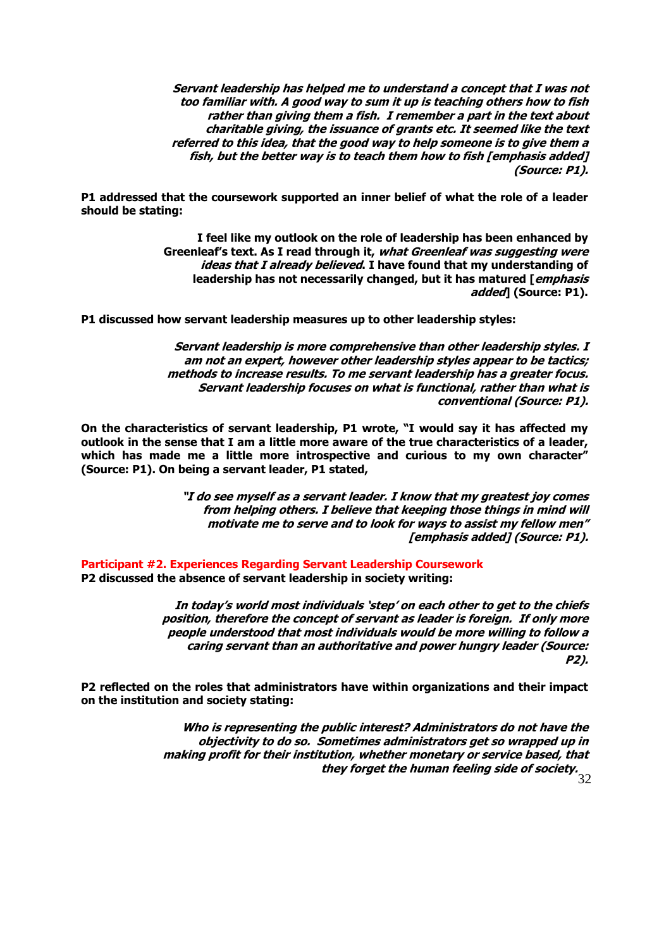**Servant leadership has helped me to understand a concept that I was not too familiar with. A good way to sum it up is teaching others how to fish rather than giving them a fish. I remember a part in the text about charitable giving, the issuance of grants etc. It seemed like the text referred to this idea, that the good way to help someone is to give them a fish, but the better way is to teach them how to fish [emphasis added] (Source: P1).** 

**P1 addressed that the coursework supported an inner belief of what the role of a leader should be stating:** 

> **I feel like my outlook on the role of leadership has been enhanced by Greenleaf's text. As I read through it, what Greenleaf was suggesting were ideas that I already believed. I have found that my understanding of leadership has not necessarily changed, but it has matured [emphasis added] (Source: P1).**

**P1 discussed how servant leadership measures up to other leadership styles:**

**Servant leadership is more comprehensive than other leadership styles. I am not an expert, however other leadership styles appear to be tactics; methods to increase results. To me servant leadership has a greater focus. Servant leadership focuses on what is functional, rather than what is conventional (Source: P1).**

**On the characteristics of servant leadership, P1 wrote, "I would say it has affected my outlook in the sense that I am a little more aware of the true characteristics of a leader, which has made me a little more introspective and curious to my own character" (Source: P1). On being a servant leader, P1 stated,** 

> **"I do see myself as a servant leader. I know that my greatest joy comes from helping others. I believe that keeping those things in mind will motivate me to serve and to look for ways to assist my fellow men" [emphasis added] (Source: P1).**

**Participant #2. Experiences Regarding Servant Leadership Coursework P2 discussed the absence of servant leadership in society writing:**

> **In today's world most individuals 'step' on each other to get to the chiefs position, therefore the concept of servant as leader is foreign. If only more people understood that most individuals would be more willing to follow a caring servant than an authoritative and power hungry leader (Source: P2).**

**P2 reflected on the roles that administrators have within organizations and their impact on the institution and society stating:**

> 32 **they forget the human feeling side of society. Who is representing the public interest? Administrators do not have the objectivity to do so. Sometimes administrators get so wrapped up in making profit for their institution, whether monetary or service based, that**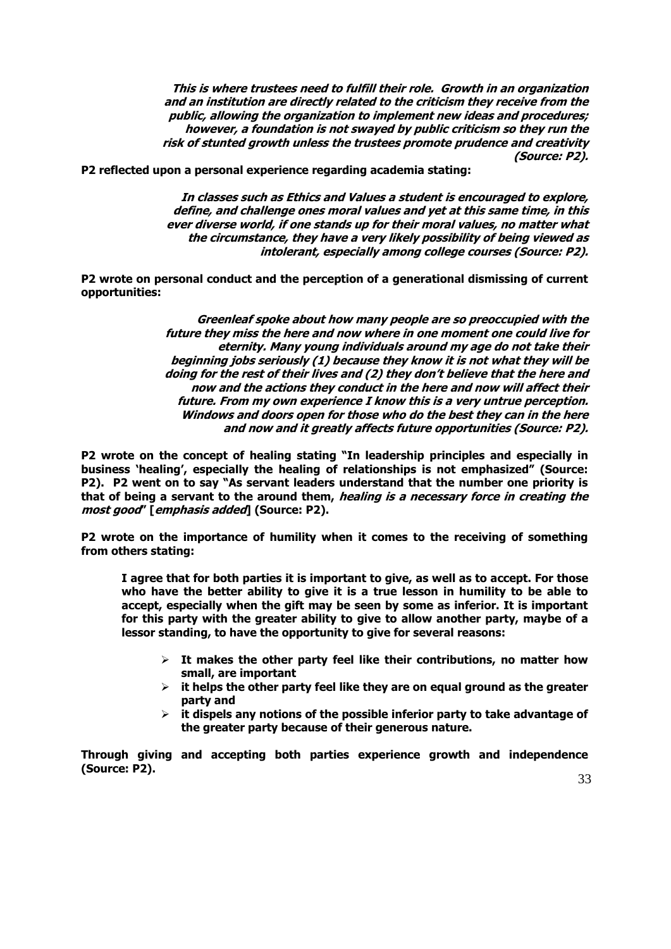**This is where trustees need to fulfill their role. Growth in an organization and an institution are directly related to the criticism they receive from the public, allowing the organization to implement new ideas and procedures; however, a foundation is not swayed by public criticism so they run the risk of stunted growth unless the trustees promote prudence and creativity (Source: P2).** 

**P2 reflected upon a personal experience regarding academia stating:**

**In classes such as Ethics and Values a student is encouraged to explore, define, and challenge ones moral values and yet at this same time, in this ever diverse world, if one stands up for their moral values, no matter what the circumstance, they have a very likely possibility of being viewed as intolerant, especially among college courses (Source: P2).**

**P2 wrote on personal conduct and the perception of a generational dismissing of current opportunities:** 

> **Greenleaf spoke about how many people are so preoccupied with the future they miss the here and now where in one moment one could live for eternity. Many young individuals around my age do not take their beginning jobs seriously (1) because they know it is not what they will be doing for the rest of their lives and (2) they don't believe that the here and now and the actions they conduct in the here and now will affect their future. From my own experience I know this is a very untrue perception. Windows and doors open for those who do the best they can in the here and now and it greatly affects future opportunities (Source: P2).**

**P2 wrote on the concept of healing stating "In leadership principles and especially in business 'healing', especially the healing of relationships is not emphasized" (Source: P2). P2 went on to say "As servant leaders understand that the number one priority is that of being a servant to the around them, healing is a necessary force in creating the most good" [emphasis added] (Source: P2).** 

**P2 wrote on the importance of humility when it comes to the receiving of something from others stating:** 

**I agree that for both parties it is important to give, as well as to accept. For those who have the better ability to give it is a true lesson in humility to be able to accept, especially when the gift may be seen by some as inferior. It is important for this party with the greater ability to give to allow another party, maybe of a lessor standing, to have the opportunity to give for several reasons:** 

- **It makes the other party feel like their contributions, no matter how small, are important**
- **it helps the other party feel like they are on equal ground as the greater party and**
- **it dispels any notions of the possible inferior party to take advantage of the greater party because of their generous nature.**

**Through giving and accepting both parties experience growth and independence (Source: P2).**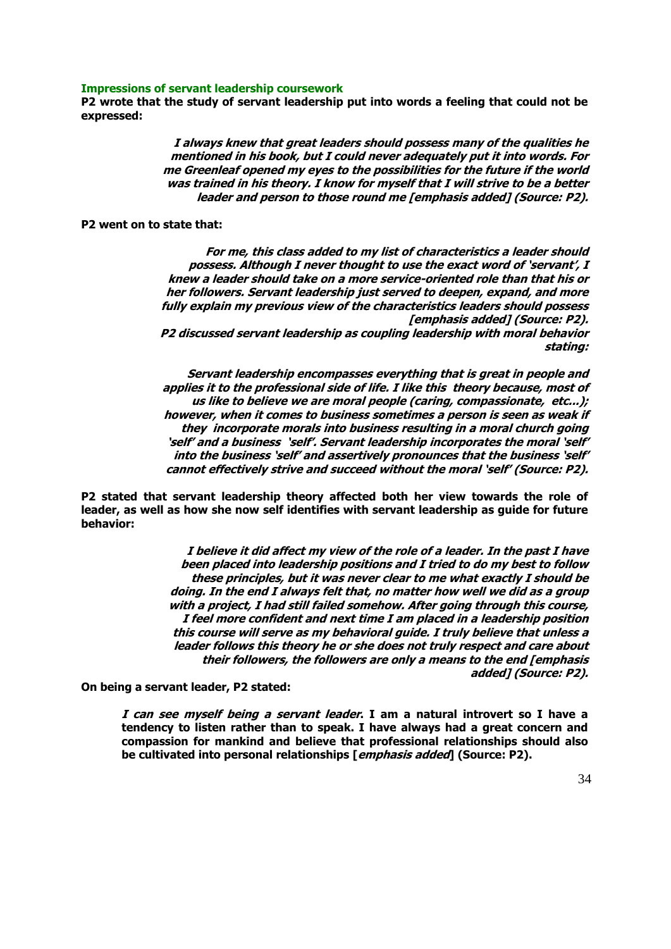#### **Impressions of servant leadership coursework**

**P2 wrote that the study of servant leadership put into words a feeling that could not be expressed:**

> **I always knew that great leaders should possess many of the qualities he mentioned in his book, but I could never adequately put it into words. For me Greenleaf opened my eyes to the possibilities for the future if the world was trained in his theory. I know for myself that I will strive to be a better leader and person to those round me [emphasis added] (Source: P2).**

# **P2 went on to state that:**

**For me, this class added to my list of characteristics a leader should possess. Although I never thought to use the exact word of 'servant', I knew a leader should take on a more service-oriented role than that his or her followers. Servant leadership just served to deepen, expand, and more fully explain my previous view of the characteristics leaders should possess [emphasis added] (Source: P2). P2 discussed servant leadership as coupling leadership with moral behavior stating:** 

**Servant leadership encompasses everything that is great in people and applies it to the professional side of life. I like this theory because, most of us like to believe we are moral people (caring, compassionate, etc...); however, when it comes to business sometimes a person is seen as weak if they incorporate morals into business resulting in a moral church going 'self' and a business 'self'. Servant leadership incorporates the moral 'self' into the business 'self' and assertively pronounces that the business 'self' cannot effectively strive and succeed without the moral 'self' (Source: P2).** 

**P2 stated that servant leadership theory affected both her view towards the role of leader, as well as how she now self identifies with servant leadership as guide for future behavior:** 

> **I believe it did affect my view of the role of a leader. In the past I have been placed into leadership positions and I tried to do my best to follow these principles, but it was never clear to me what exactly I should be doing. In the end I always felt that, no matter how well we did as a group with a project, I had still failed somehow. After going through this course, I feel more confident and next time I am placed in a leadership position this course will serve as my behavioral guide. I truly believe that unless a leader follows this theory he or she does not truly respect and care about their followers, the followers are only a means to the end [emphasis added] (Source: P2).**

**On being a servant leader, P2 stated:** 

**I can see myself being a servant leader. I am a natural introvert so I have a tendency to listen rather than to speak. I have always had a great concern and compassion for mankind and believe that professional relationships should also be cultivated into personal relationships [emphasis added] (Source: P2).**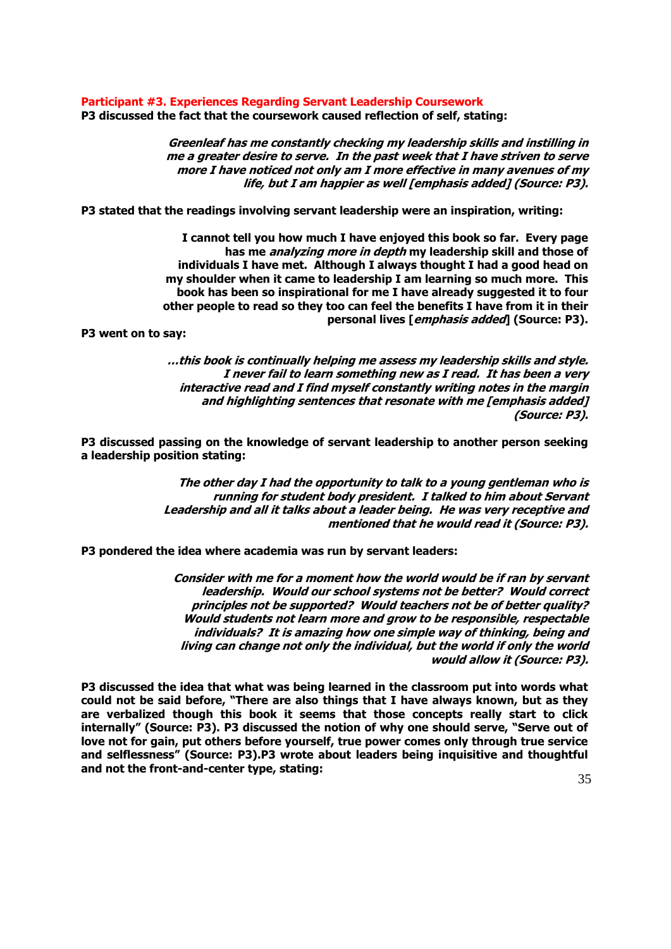**Participant #3. Experiences Regarding Servant Leadership Coursework P3 discussed the fact that the coursework caused reflection of self, stating:** 

> **Greenleaf has me constantly checking my leadership skills and instilling in me a greater desire to serve. In the past week that I have striven to serve more I have noticed not only am I more effective in many avenues of my life, but I am happier as well [emphasis added] (Source: P3).**

**P3 stated that the readings involving servant leadership were an inspiration, writing:**

**I cannot tell you how much I have enjoyed this book so far. Every page has me analyzing more in depth my leadership skill and those of individuals I have met. Although I always thought I had a good head on my shoulder when it came to leadership I am learning so much more. This book has been so inspirational for me I have already suggested it to four other people to read so they too can feel the benefits I have from it in their personal lives [emphasis added] (Source: P3).**

**P3 went on to say:**

**…this book is continually helping me assess my leadership skills and style. I never fail to learn something new as I read. It has been a very interactive read and I find myself constantly writing notes in the margin and highlighting sentences that resonate with me [emphasis added] (Source: P3).**

**P3 discussed passing on the knowledge of servant leadership to another person seeking a leadership position stating:**

> **The other day I had the opportunity to talk to a young gentleman who is running for student body president. I talked to him about Servant Leadership and all it talks about a leader being. He was very receptive and mentioned that he would read it (Source: P3).**

**P3 pondered the idea where academia was run by servant leaders:** 

**Consider with me for a moment how the world would be if ran by servant leadership. Would our school systems not be better? Would correct principles not be supported? Would teachers not be of better quality? Would students not learn more and grow to be responsible, respectable individuals? It is amazing how one simple way of thinking, being and living can change not only the individual, but the world if only the world would allow it (Source: P3).**

**P3 discussed the idea that what was being learned in the classroom put into words what could not be said before, "There are also things that I have always known, but as they are verbalized though this book it seems that those concepts really start to click internally" (Source: P3). P3 discussed the notion of why one should serve, "Serve out of love not for gain, put others before yourself, true power comes only through true service and selflessness" (Source: P3).P3 wrote about leaders being inquisitive and thoughtful and not the front-and-center type, stating:**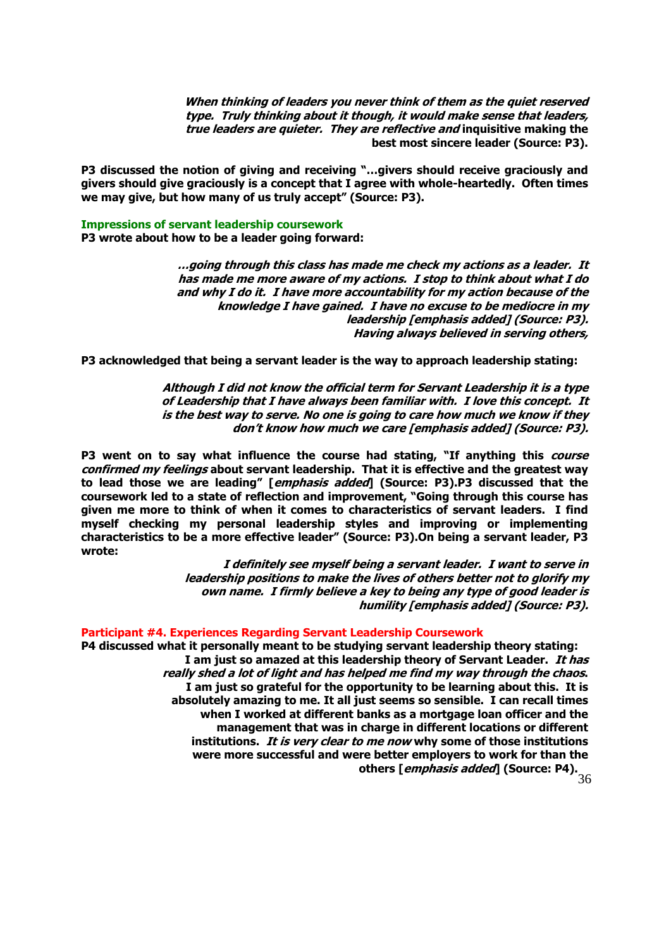**When thinking of leaders you never think of them as the quiet reserved type. Truly thinking about it though, it would make sense that leaders, true leaders are quieter. They are reflective and inquisitive making the best most sincere leader (Source: P3).**

**P3 discussed the notion of giving and receiving "…givers should receive graciously and givers should give graciously is a concept that I agree with whole-heartedly. Often times we may give, but how many of us truly accept" (Source: P3).**

**Impressions of servant leadership coursework**

**P3 wrote about how to be a leader going forward:**

**…going through this class has made me check my actions as a leader. It has made me more aware of my actions. I stop to think about what I do and why I do it. I have more accountability for my action because of the knowledge I have gained. I have no excuse to be mediocre in my leadership [emphasis added] (Source: P3). Having always believed in serving others,** 

**P3 acknowledged that being a servant leader is the way to approach leadership stating:** 

**Although I did not know the official term for Servant Leadership it is a type of Leadership that I have always been familiar with. I love this concept. It is the best way to serve. No one is going to care how much we know if they don't know how much we care [emphasis added] (Source: P3).**

**P3 went on to say what influence the course had stating, "If anything this course confirmed my feelings about servant leadership. That it is effective and the greatest way to lead those we are leading" [emphasis added] (Source: P3).P3 discussed that the coursework led to a state of reflection and improvement, "Going through this course has given me more to think of when it comes to characteristics of servant leaders. I find myself checking my personal leadership styles and improving or implementing characteristics to be a more effective leader" (Source: P3).On being a servant leader, P3 wrote:**

> **I definitely see myself being a servant leader. I want to serve in leadership positions to make the lives of others better not to glorify my own name. I firmly believe a key to being any type of good leader is humility [emphasis added] (Source: P3).**

#### **Participant #4. Experiences Regarding Servant Leadership Coursework**

**P4 discussed what it personally meant to be studying servant leadership theory stating: I am just so amazed at this leadership theory of Servant Leader. It has really shed a lot of light and has helped me find my way through the chaos. I am just so grateful for the opportunity to be learning about this. It is absolutely amazing to me. It all just seems so sensible. I can recall times when I worked at different banks as a mortgage loan officer and the management that was in charge in different locations or different institutions. It is very clear to me now why some of those institutions were more successful and were better employers to work for than the others [emphasis added] (Source: P4).**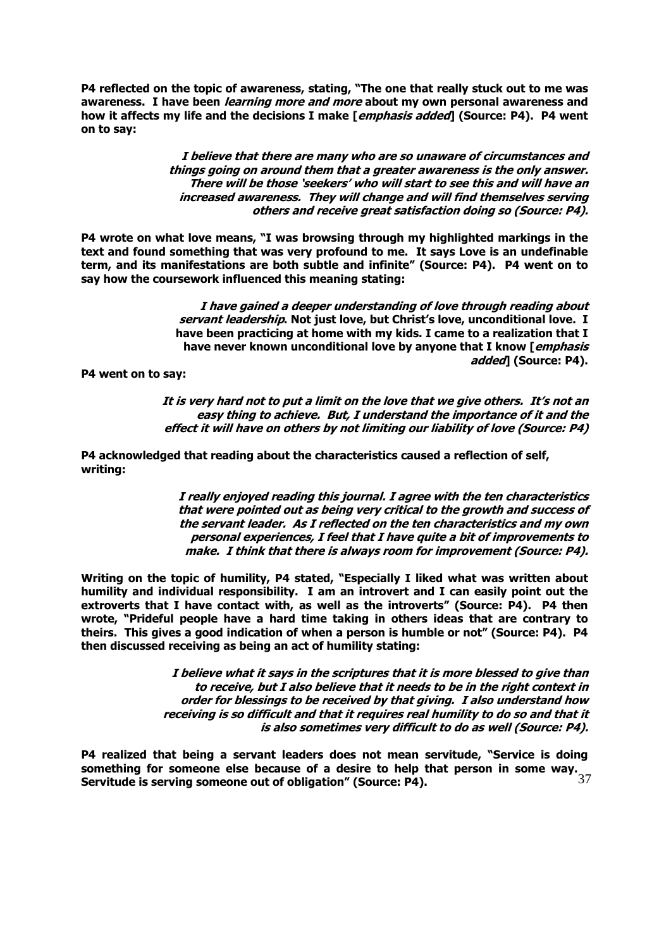**P4 reflected on the topic of awareness, stating, "The one that really stuck out to me was awareness. I have been learning more and more about my own personal awareness and how it affects my life and the decisions I make [emphasis added] (Source: P4). P4 went on to say:**

> **I believe that there are many who are so unaware of circumstances and things going on around them that a greater awareness is the only answer. There will be those 'seekers' who will start to see this and will have an increased awareness. They will change and will find themselves serving others and receive great satisfaction doing so (Source: P4).**

**P4 wrote on what love means, "I was browsing through my highlighted markings in the text and found something that was very profound to me. It says Love is an undefinable term, and its manifestations are both subtle and infinite" (Source: P4). P4 went on to say how the coursework influenced this meaning stating:** 

> **I have gained a deeper understanding of love through reading about servant leadership. Not just love, but Christ's love, unconditional love. I have been practicing at home with my kids. I came to a realization that I have never known unconditional love by anyone that I know [emphasis added] (Source: P4).**

**P4 went on to say:** 

**It is very hard not to put a limit on the love that we give others. It's not an easy thing to achieve. But, I understand the importance of it and the effect it will have on others by not limiting our liability of love (Source: P4)**

**P4 acknowledged that reading about the characteristics caused a reflection of self, writing:** 

> **I really enjoyed reading this journal. I agree with the ten characteristics that were pointed out as being very critical to the growth and success of the servant leader. As I reflected on the ten characteristics and my own personal experiences, I feel that I have quite a bit of improvements to make. I think that there is always room for improvement (Source: P4).**

**Writing on the topic of humility, P4 stated, "Especially I liked what was written about humility and individual responsibility. I am an introvert and I can easily point out the extroverts that I have contact with, as well as the introverts" (Source: P4). P4 then wrote, "Prideful people have a hard time taking in others ideas that are contrary to theirs. This gives a good indication of when a person is humble or not" (Source: P4). P4 then discussed receiving as being an act of humility stating:** 

> **I believe what it says in the scriptures that it is more blessed to give than to receive, but I also believe that it needs to be in the right context in order for blessings to be received by that giving. I also understand how receiving is so difficult and that it requires real humility to do so and that it is also sometimes very difficult to do as well (Source: P4).**

37 **P4 realized that being a servant leaders does not mean servitude, "Service is doing something for someone else because of a desire to help that person in some way. Servitude is serving someone out of obligation" (Source: P4).**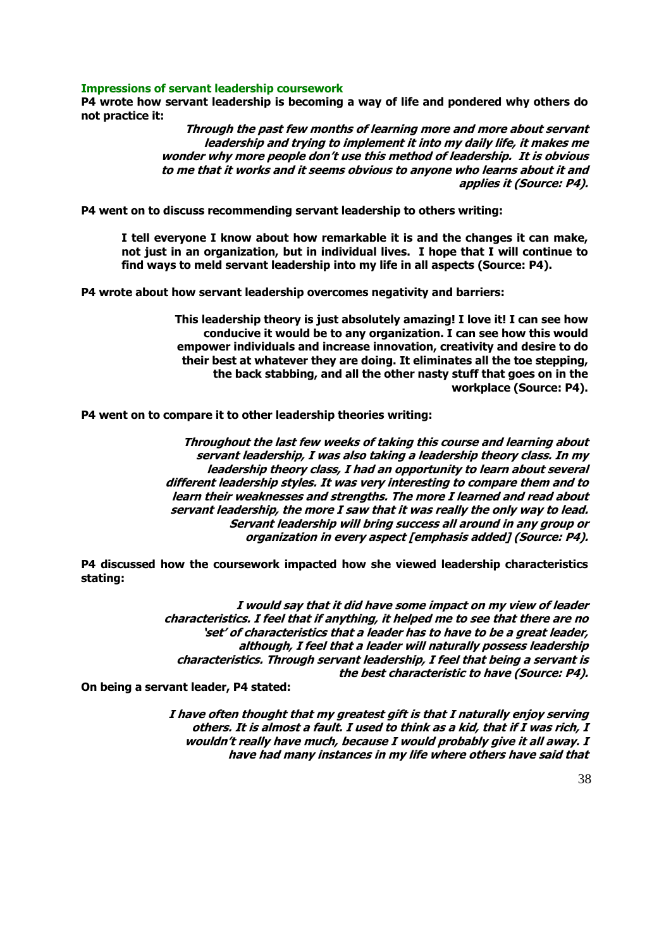# **Impressions of servant leadership coursework**

**P4 wrote how servant leadership is becoming a way of life and pondered why others do not practice it:** 

> **Through the past few months of learning more and more about servant leadership and trying to implement it into my daily life, it makes me wonder why more people don't use this method of leadership. It is obvious to me that it works and it seems obvious to anyone who learns about it and applies it (Source: P4).**

**P4 went on to discuss recommending servant leadership to others writing:** 

**I tell everyone I know about how remarkable it is and the changes it can make, not just in an organization, but in individual lives. I hope that I will continue to find ways to meld servant leadership into my life in all aspects (Source: P4).**

**P4 wrote about how servant leadership overcomes negativity and barriers:** 

**This leadership theory is just absolutely amazing! I love it! I can see how conducive it would be to any organization. I can see how this would empower individuals and increase innovation, creativity and desire to do their best at whatever they are doing. It eliminates all the toe stepping, the back stabbing, and all the other nasty stuff that goes on in the workplace (Source: P4).**

**P4 went on to compare it to other leadership theories writing:** 

**Throughout the last few weeks of taking this course and learning about servant leadership, I was also taking a leadership theory class. In my leadership theory class, I had an opportunity to learn about several different leadership styles. It was very interesting to compare them and to learn their weaknesses and strengths. The more I learned and read about servant leadership, the more I saw that it was really the only way to lead. Servant leadership will bring success all around in any group or organization in every aspect [emphasis added] (Source: P4).**

**P4 discussed how the coursework impacted how she viewed leadership characteristics stating:** 

> **I would say that it did have some impact on my view of leader characteristics. I feel that if anything, it helped me to see that there are no 'set' of characteristics that a leader has to have to be a great leader, although, I feel that a leader will naturally possess leadership characteristics. Through servant leadership, I feel that being a servant is the best characteristic to have (Source: P4).**

**On being a servant leader, P4 stated:** 

**I have often thought that my greatest gift is that I naturally enjoy serving others. It is almost a fault. I used to think as a kid, that if I was rich, I wouldn't really have much, because I would probably give it all away. I have had many instances in my life where others have said that**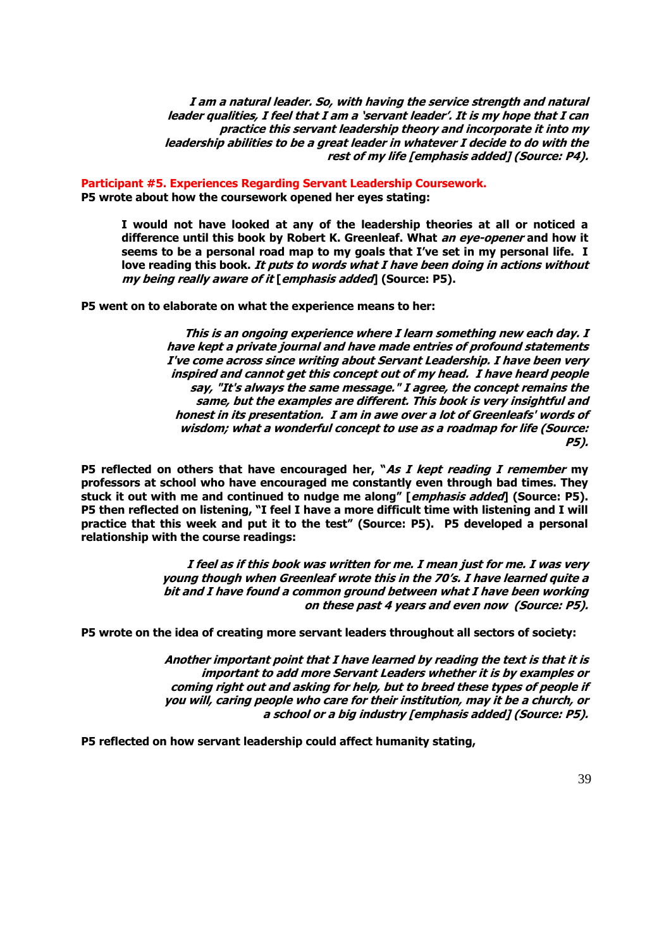**I am a natural leader. So, with having the service strength and natural leader qualities, I feel that I am a 'servant leader'. It is my hope that I can practice this servant leadership theory and incorporate it into my leadership abilities to be a great leader in whatever I decide to do with the rest of my life [emphasis added] (Source: P4).**

**Participant #5. Experiences Regarding Servant Leadership Coursework. P5 wrote about how the coursework opened her eyes stating:**

**I would not have looked at any of the leadership theories at all or noticed a difference until this book by Robert K. Greenleaf. What an eye-opener and how it seems to be a personal road map to my goals that I've set in my personal life. I love reading this book. It puts to words what I have been doing in actions without my being really aware of it [emphasis added] (Source: P5).**

**P5 went on to elaborate on what the experience means to her:** 

**This is an ongoing experience where I learn something new each day. I have kept a private journal and have made entries of profound statements I've come across since writing about Servant Leadership. I have been very inspired and cannot get this concept out of my head. I have heard people say, "It's always the same message." I agree, the concept remains the same, but the examples are different. This book is very insightful and honest in its presentation. I am in awe over a lot of Greenleafs' words of wisdom; what a wonderful concept to use as a roadmap for life (Source: P5).** 

**P5 reflected on others that have encouraged her, "As I kept reading I remember my professors at school who have encouraged me constantly even through bad times. They stuck it out with me and continued to nudge me along" [emphasis added] (Source: P5). P5 then reflected on listening, "I feel I have a more difficult time with listening and I will practice that this week and put it to the test" (Source: P5). P5 developed a personal relationship with the course readings:**

> **I feel as if this book was written for me. I mean just for me. I was very young though when Greenleaf wrote this in the 70's. I have learned quite a bit and I have found a common ground between what I have been working on these past 4 years and even now (Source: P5).**

**P5 wrote on the idea of creating more servant leaders throughout all sectors of society:** 

**Another important point that I have learned by reading the text is that it is important to add more Servant Leaders whether it is by examples or coming right out and asking for help, but to breed these types of people if you will, caring people who care for their institution, may it be a church, or a school or a big industry [emphasis added] (Source: P5).**

**P5 reflected on how servant leadership could affect humanity stating,**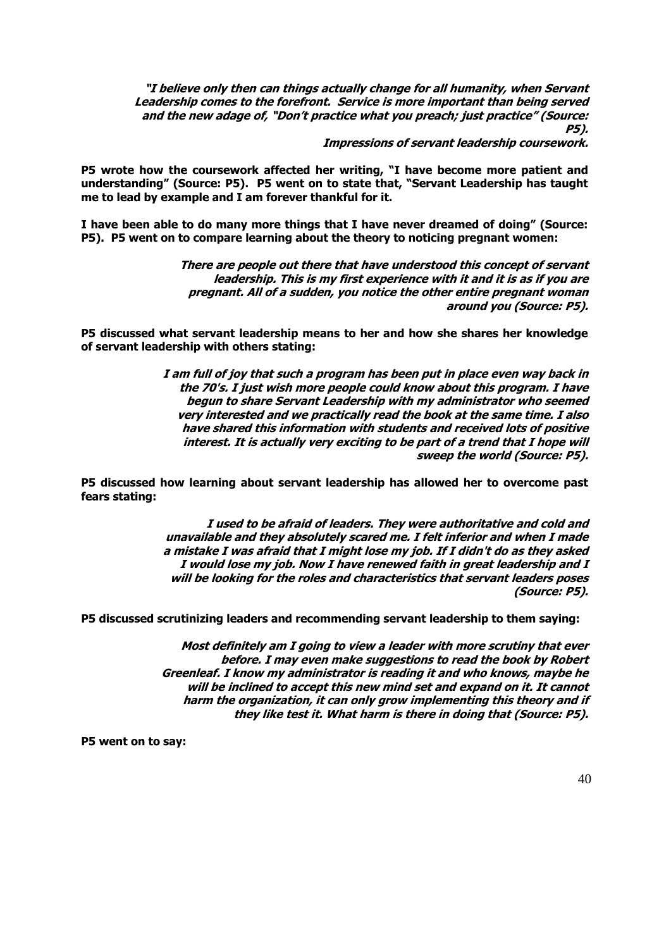**"I believe only then can things actually change for all humanity, when Servant Leadership comes to the forefront. Service is more important than being served and the new adage of, "Don't practice what you preach; just practice" (Source: P5).** 

**Impressions of servant leadership coursework.** 

**P5 wrote how the coursework affected her writing, "I have become more patient and understanding" (Source: P5). P5 went on to state that, "Servant Leadership has taught me to lead by example and I am forever thankful for it.** 

**I have been able to do many more things that I have never dreamed of doing" (Source: P5). P5 went on to compare learning about the theory to noticing pregnant women:** 

> **There are people out there that have understood this concept of servant leadership. This is my first experience with it and it is as if you are pregnant. All of a sudden, you notice the other entire pregnant woman around you (Source: P5).**

**P5 discussed what servant leadership means to her and how she shares her knowledge of servant leadership with others stating:** 

> **I am full of joy that such a program has been put in place even way back in the 70's. I just wish more people could know about this program. I have begun to share Servant Leadership with my administrator who seemed very interested and we practically read the book at the same time. I also have shared this information with students and received lots of positive interest. It is actually very exciting to be part of a trend that I hope will sweep the world (Source: P5).**

**P5 discussed how learning about servant leadership has allowed her to overcome past fears stating:**

> **I used to be afraid of leaders. They were authoritative and cold and unavailable and they absolutely scared me. I felt inferior and when I made a mistake I was afraid that I might lose my job. If I didn't do as they asked I would lose my job. Now I have renewed faith in great leadership and I will be looking for the roles and characteristics that servant leaders poses (Source: P5).**

**P5 discussed scrutinizing leaders and recommending servant leadership to them saying:** 

**Most definitely am I going to view a leader with more scrutiny that ever before. I may even make suggestions to read the book by Robert Greenleaf. I know my administrator is reading it and who knows, maybe he will be inclined to accept this new mind set and expand on it. It cannot harm the organization, it can only grow implementing this theory and if they like test it. What harm is there in doing that (Source: P5).**

**P5 went on to say:**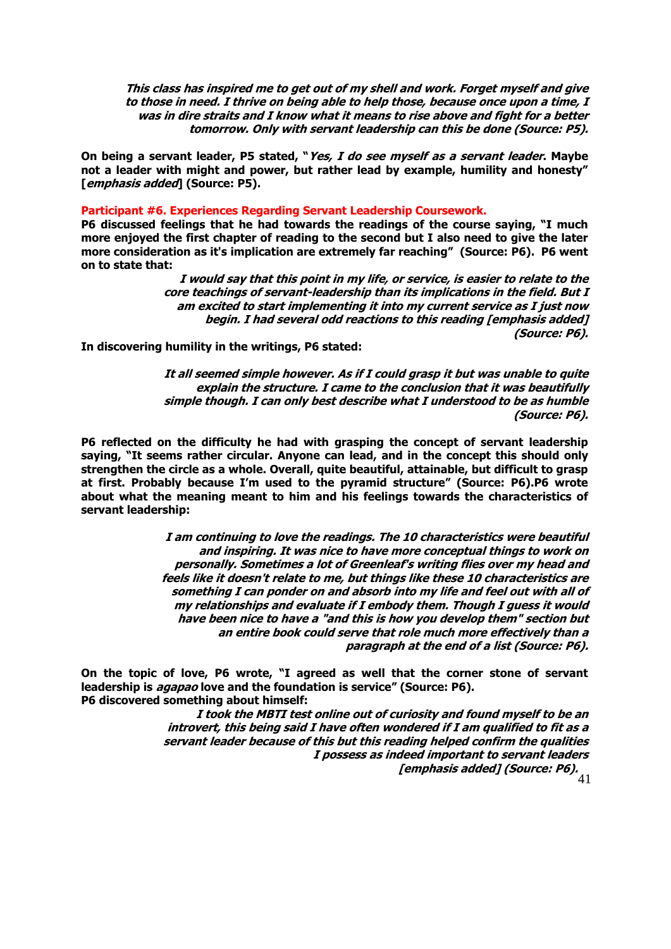**This class has inspired me to get out of my shell and work. Forget myself and give to those in need. I thrive on being able to help those, because once upon a time, I was in dire straits and I know what it means to rise above and fight for a better tomorrow. Only with servant leadership can this be done (Source: P5).**

**On being a servant leader, P5 stated, "Yes, I do see myself as a servant leader. Maybe not a leader with might and power, but rather lead by example, humility and honesty" [emphasis added] (Source: P5).**

# **Participant #6. Experiences Regarding Servant Leadership Coursework.**

**P6 discussed feelings that he had towards the readings of the course saying, "I much more enjoyed the first chapter of reading to the second but I also need to give the later more consideration as it's implication are extremely far reaching" (Source: P6). P6 went on to state that:** 

> **I would say that this point in my life, or service, is easier to relate to the core teachings of servant-leadership than its implications in the field. But I am excited to start implementing it into my current service as I just now begin. I had several odd reactions to this reading [emphasis added] (Source: P6).**

**In discovering humility in the writings, P6 stated:** 

**It all seemed simple however. As if I could grasp it but was unable to quite explain the structure. I came to the conclusion that it was beautifully simple though. I can only best describe what I understood to be as humble (Source: P6).**

**P6 reflected on the difficulty he had with grasping the concept of servant leadership saying, "It seems rather circular. Anyone can lead, and in the concept this should only strengthen the circle as a whole. Overall, quite beautiful, attainable, but difficult to grasp at first. Probably because I'm used to the pyramid structure" (Source: P6).P6 wrote about what the meaning meant to him and his feelings towards the characteristics of servant leadership:** 

> **I am continuing to love the readings. The 10 characteristics were beautiful and inspiring. It was nice to have more conceptual things to work on personally. Sometimes a lot of Greenleaf's writing flies over my head and feels like it doesn't relate to me, but things like these 10 characteristics are something I can ponder on and absorb into my life and feel out with all of my relationships and evaluate if I embody them. Though I guess it would have been nice to have a "and this is how you develop them" section but an entire book could serve that role much more effectively than a paragraph at the end of a list (Source: P6).**

**On the topic of love, P6 wrote, "I agreed as well that the corner stone of servant leadership is agapao love and the foundation is service" (Source: P6). P6 discovered something about himself:**

> 41 **[emphasis added] (Source: P6).I took the MBTI test online out of curiosity and found myself to be an introvert, this being said I have often wondered if I am qualified to fit as a servant leader because of this but this reading helped confirm the qualities I possess as indeed important to servant leaders**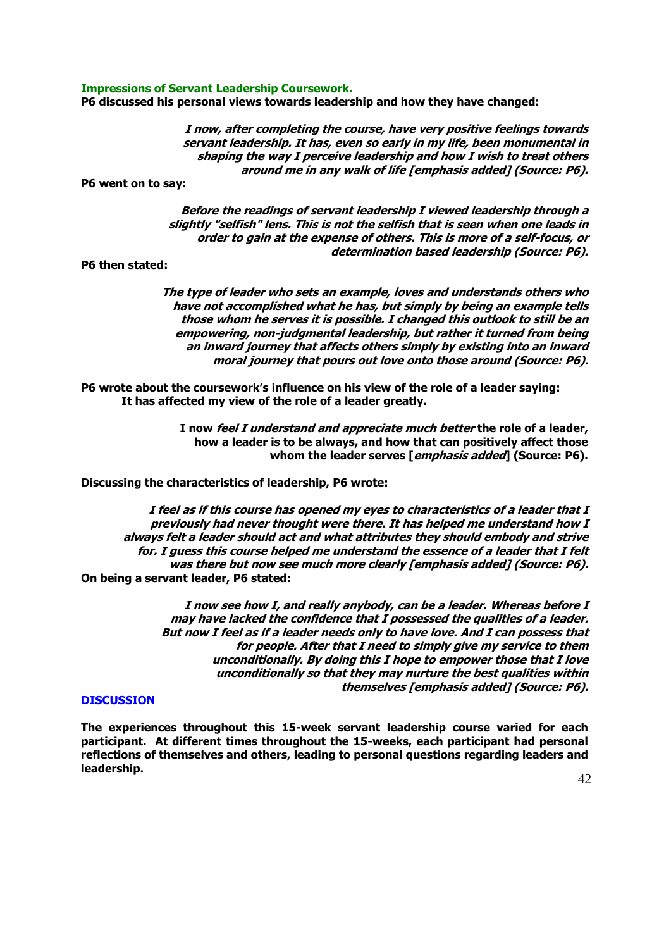#### **Impressions of Servant Leadership Coursework.**

**P6 discussed his personal views towards leadership and how they have changed:** 

**I now, after completing the course, have very positive feelings towards servant leadership. It has, even so early in my life, been monumental in shaping the way I perceive leadership and how I wish to treat others around me in any walk of life [emphasis added] (Source: P6).**

**P6 went on to say:**

**Before the readings of servant leadership I viewed leadership through a slightly "selfish" lens. This is not the selfish that is seen when one leads in order to gain at the expense of others. This is more of a self-focus, or determination based leadership (Source: P6).** 

**P6 then stated:** 

**The type of leader who sets an example, loves and understands others who have not accomplished what he has, but simply by being an example tells those whom he serves it is possible. I changed this outlook to still be an empowering, non-judgmental leadership, but rather it turned from being an inward journey that affects others simply by existing into an inward moral journey that pours out love onto those around (Source: P6).**

**P6 wrote about the coursework's influence on his view of the role of a leader saying: It has affected my view of the role of a leader greatly.**

> **I now feel I understand and appreciate much better the role of a leader, how a leader is to be always, and how that can positively affect those whom the leader serves [emphasis added] (Source: P6).**

**Discussing the characteristics of leadership, P6 wrote:** 

**I feel as if this course has opened my eyes to characteristics of a leader that I previously had never thought were there. It has helped me understand how I always felt a leader should act and what attributes they should embody and strive for. I guess this course helped me understand the essence of a leader that I felt was there but now see much more clearly [emphasis added] (Source: P6). On being a servant leader, P6 stated:** 

> **I now see how I, and really anybody, can be a leader. Whereas before I may have lacked the confidence that I possessed the qualities of a leader. But now I feel as if a leader needs only to have love. And I can possess that for people. After that I need to simply give my service to them unconditionally. By doing this I hope to empower those that I love unconditionally so that they may nurture the best qualities within themselves [emphasis added] (Source: P6).**

# **DISCUSSION**

**The experiences throughout this 15-week servant leadership course varied for each participant. At different times throughout the 15-weeks, each participant had personal reflections of themselves and others, leading to personal questions regarding leaders and leadership.**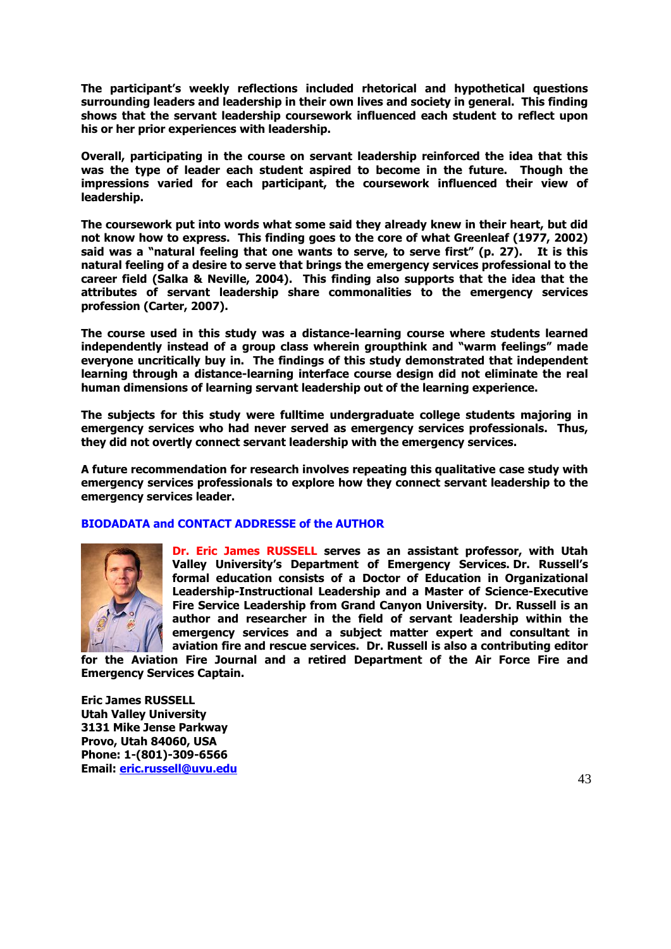**The participant's weekly reflections included rhetorical and hypothetical questions surrounding leaders and leadership in their own lives and society in general. This finding shows that the servant leadership coursework influenced each student to reflect upon his or her prior experiences with leadership.** 

**Overall, participating in the course on servant leadership reinforced the idea that this was the type of leader each student aspired to become in the future. Though the impressions varied for each participant, the coursework influenced their view of leadership.** 

**The coursework put into words what some said they already knew in their heart, but did not know how to express. This finding goes to the core of what Greenleaf (1977, 2002) said was a "natural feeling that one wants to serve, to serve first" (p. 27). It is this natural feeling of a desire to serve that brings the emergency services professional to the career field (Salka & Neville, 2004). This finding also supports that the idea that the attributes of servant leadership share commonalities to the emergency services profession (Carter, 2007).** 

**The course used in this study was a distance-learning course where students learned independently instead of a group class wherein groupthink and "warm feelings" made everyone uncritically buy in. The findings of this study demonstrated that independent learning through a distance-learning interface course design did not eliminate the real human dimensions of learning servant leadership out of the learning experience.** 

**The subjects for this study were fulltime undergraduate college students majoring in emergency services who had never served as emergency services professionals. Thus, they did not overtly connect servant leadership with the emergency services.** 

**A future recommendation for research involves repeating this qualitative case study with emergency services professionals to explore how they connect servant leadership to the emergency services leader.** 

# **BIODADATA and CONTACT ADDRESSE of the AUTHOR**



**Dr. Eric James RUSSELL serves as an assistant professor, with Utah Valley University's Department of Emergency Services. Dr. Russell's formal education consists of a Doctor of Education in Organizational Leadership-Instructional Leadership and a Master of Science-Executive Fire Service Leadership from Grand Canyon University. Dr. Russell is an author and researcher in the field of servant leadership within the emergency services and a subject matter expert and consultant in aviation fire and rescue services. Dr. Russell is also a contributing editor** 

**for the Aviation Fire Journal and a retired Department of the Air Force Fire and Emergency Services Captain.**

**Eric James RUSSELL Utah Valley University 3131 Mike Jense Parkway Provo, Utah 84060, USA Phone: 1-(801)-309-6566 Email: [eric.russell@uvu.edu](mailto:eric.russell@uvu.edu)**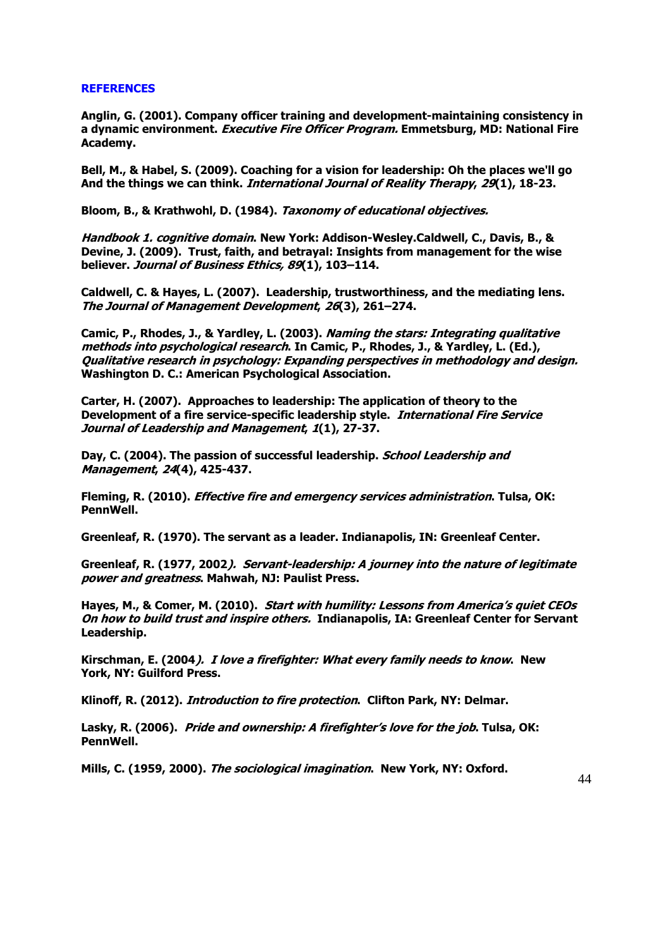# **REFERENCES**

**Anglin, G. (2001). Company officer training and development-maintaining consistency in a dynamic environment. Executive Fire Officer Program. Emmetsburg, MD: National Fire Academy.**

**Bell, M., & Habel, S. (2009). Coaching for a vision for leadership: Oh the places we'll go And the things we can think. International Journal of Reality Therapy, 29(1), 18-23.**

**Bloom, B., & Krathwohl, D. (1984). Taxonomy of educational objectives.** 

**Handbook 1. cognitive domain. New York: Addison-Wesley.Caldwell, C., Davis, B., & Devine, J. (2009). Trust, faith, and betrayal: Insights from management for the wise believer. Journal of Business Ethics, 89(1), 103–114.**

**Caldwell, C. & Hayes, L. (2007). Leadership, trustworthiness, and the mediating lens. The Journal of Management Development, 26(3), 261–274.**

**Camic, P., Rhodes, J., & Yardley, L. (2003). Naming the stars: Integrating qualitative methods into psychological research. In Camic, P., Rhodes, J., & Yardley, L. (Ed.), Qualitative research in psychology: Expanding perspectives in methodology and design. Washington D. C.: American Psychological Association.** 

**Carter, H. (2007). Approaches to leadership: The application of theory to the Development of a fire service-specific leadership style. International Fire Service Journal of Leadership and Management, 1(1), 27-37.**

**Day, C. (2004). The passion of successful leadership. School Leadership and Management, 24(4), 425-437.**

**Fleming, R. (2010). Effective fire and emergency services administration. Tulsa, OK: PennWell.** 

**Greenleaf, R. (1970). The servant as a leader. Indianapolis, IN: Greenleaf Center.**

**Greenleaf, R. (1977, 2002). Servant-leadership: A journey into the nature of legitimate power and greatness. Mahwah, NJ: Paulist Press.** 

**Hayes, M., & Comer, M. (2010). Start with humility: Lessons from America's quiet CEOs On how to build trust and inspire others. Indianapolis, IA: Greenleaf Center for Servant Leadership.** 

**Kirschman, E. (2004). I love a firefighter: What every family needs to know. New York, NY: Guilford Press.** 

**Klinoff, R. (2012). Introduction to fire protection. Clifton Park, NY: Delmar.** 

**Lasky, R. (2006). Pride and ownership: A firefighter's love for the job. Tulsa, OK: PennWell.** 

**Mills, C. (1959, 2000). The sociological imagination. New York, NY: Oxford.**